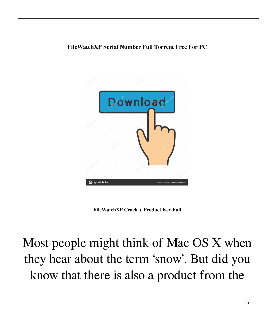## **FileWatchXP Serial Number Full Torrent Free For PC**



**FileWatchXP Crack + Product Key Full**

## Most people might think of Mac OS X when they hear about the term 'snow'. But did you know that there is also a product from the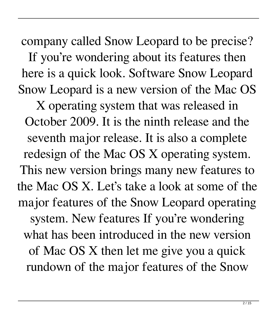company called Snow Leopard to be precise? If you're wondering about its features then here is a quick look. Software Snow Leopard Snow Leopard is a new version of the Mac OS

X operating system that was released in October 2009. It is the ninth release and the seventh major release. It is also a complete redesign of the Mac OS X operating system. This new version brings many new features to the Mac OS X. Let's take a look at some of the major features of the Snow Leopard operating system. New features If you're wondering what has been introduced in the new version of Mac OS X then let me give you a quick rundown of the major features of the Snow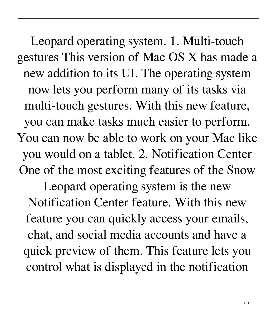Leopard operating system. 1. Multi-touch gestures This version of Mac OS X has made a new addition to its UI. The operating system now lets you perform many of its tasks via multi-touch gestures. With this new feature, you can make tasks much easier to perform. You can now be able to work on your Mac like you would on a tablet. 2. Notification Center One of the most exciting features of the Snow Leopard operating system is the new Notification Center feature. With this new feature you can quickly access your emails, chat, and social media accounts and have a quick preview of them. This feature lets you control what is displayed in the notification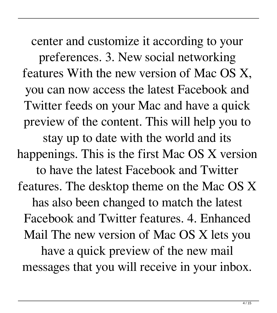center and customize it according to your preferences. 3. New social networking features With the new version of Mac OS X, you can now access the latest Facebook and Twitter feeds on your Mac and have a quick preview of the content. This will help you to stay up to date with the world and its happenings. This is the first Mac OS X version to have the latest Facebook and Twitter features. The desktop theme on the Mac OS X has also been changed to match the latest Facebook and Twitter features. 4. Enhanced Mail The new version of Mac OS X lets you have a quick preview of the new mail messages that you will receive in your inbox.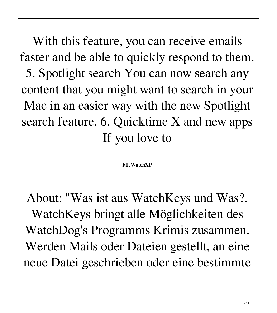With this feature, you can receive emails faster and be able to quickly respond to them. 5. Spotlight search You can now search any content that you might want to search in your Mac in an easier way with the new Spotlight search feature. 6. Quicktime X and new apps If you love to

## **FileWatchXP**

About: "Was ist aus WatchKeys und Was?. WatchKeys bringt alle Möglichkeiten des WatchDog's Programms Krimis zusammen. Werden Mails oder Dateien gestellt, an eine neue Datei geschrieben oder eine bestimmte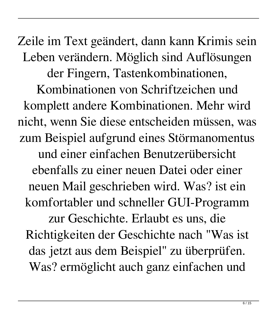Zeile im Text geändert, dann kann Krimis sein Leben verändern. Möglich sind Auflösungen der Fingern, Tastenkombinationen, Kombinationen von Schriftzeichen und komplett andere Kombinationen. Mehr wird nicht, wenn Sie diese entscheiden müssen, was zum Beispiel aufgrund eines Störmanomentus und einer einfachen Benutzerübersicht ebenfalls zu einer neuen Datei oder einer neuen Mail geschrieben wird. Was? ist ein komfortabler und schneller GUI-Programm zur Geschichte. Erlaubt es uns, die Richtigkeiten der Geschichte nach "Was ist das jetzt aus dem Beispiel" zu überprüfen. Was? ermöglicht auch ganz einfachen und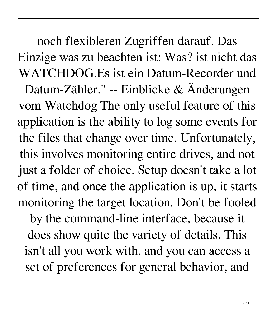noch flexibleren Zugriffen darauf. Das Einzige was zu beachten ist: Was? ist nicht das WATCHDOG.Es ist ein Datum-Recorder und Datum-Zähler." -- Einblicke & Änderungen vom Watchdog The only useful feature of this application is the ability to log some events for the files that change over time. Unfortunately, this involves monitoring entire drives, and not just a folder of choice. Setup doesn't take a lot of time, and once the application is up, it starts monitoring the target location. Don't be fooled

by the command-line interface, because it does show quite the variety of details. This isn't all you work with, and you can access a set of preferences for general behavior, and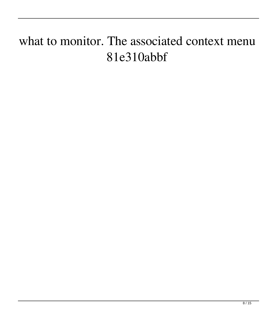## what to monitor. The associated context menu 81e310abbf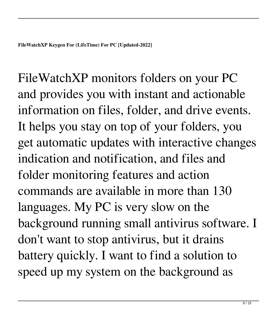FileWatchXP monitors folders on your PC and provides you with instant and actionable information on files, folder, and drive events. It helps you stay on top of your folders, you get automatic updates with interactive changes indication and notification, and files and folder monitoring features and action commands are available in more than 130 languages. My PC is very slow on the background running small antivirus software. I don't want to stop antivirus, but it drains battery quickly. I want to find a solution to speed up my system on the background as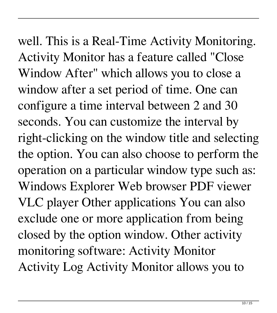well. This is a Real-Time Activity Monitoring. Activity Monitor has a feature called "Close Window After" which allows you to close a window after a set period of time. One can configure a time interval between 2 and 30 seconds. You can customize the interval by right-clicking on the window title and selecting the option. You can also choose to perform the operation on a particular window type such as: Windows Explorer Web browser PDF viewer VLC player Other applications You can also exclude one or more application from being closed by the option window. Other activity monitoring software: Activity Monitor Activity Log Activity Monitor allows you to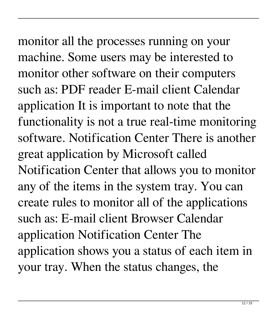monitor all the processes running on your machine. Some users may be interested to monitor other software on their computers such as: PDF reader E-mail client Calendar application It is important to note that the functionality is not a true real-time monitoring software. Notification Center There is another great application by Microsoft called Notification Center that allows you to monitor any of the items in the system tray. You can create rules to monitor all of the applications such as: E-mail client Browser Calendar application Notification Center The application shows you a status of each item in your tray. When the status changes, the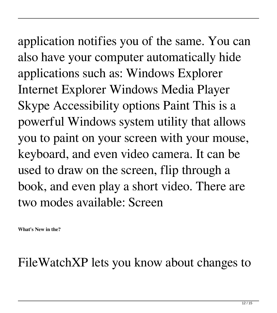application notifies you of the same. You can also have your computer automatically hide applications such as: Windows Explorer Internet Explorer Windows Media Player Skype Accessibility options Paint This is a powerful Windows system utility that allows you to paint on your screen with your mouse, keyboard, and even video camera. It can be used to draw on the screen, flip through a book, and even play a short video. There are two modes available: Screen

**What's New in the?**

FileWatchXP lets you know about changes to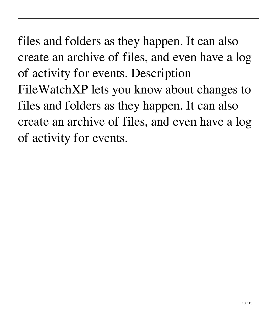files and folders as they happen. It can also create an archive of files, and even have a log of activity for events. Description FileWatchXP lets you know about changes to files and folders as they happen. It can also create an archive of files, and even have a log of activity for events.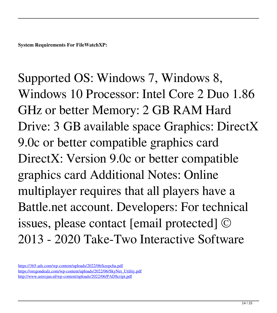**System Requirements For FileWatchXP:**

Supported OS: Windows 7, Windows 8, Windows 10 Processor: Intel Core 2 Duo 1.86 GHz or better Memory: 2 GB RAM Hard Drive: 3 GB available space Graphics: DirectX 9.0c or better compatible graphics card DirectX: Version 9.0c or better compatible graphics card Additional Notes: Online multiplayer requires that all players have a Battle.net account. Developers: For technical issues, please contact [email protected] © 2013 - 2020 Take-Two Interactive Software

<https://365-ads.com/wp-content/uploads/2022/06/keepcha.pdf> [https://oregondealz.com/wp-content/uploads/2022/06/SkyNet\\_Utility.pdf](https://oregondealz.com/wp-content/uploads/2022/06/SkyNet_Utility.pdf) <http://www.astrojan.nl/wp-content/uploads/2022/06/PADScript.pdf>